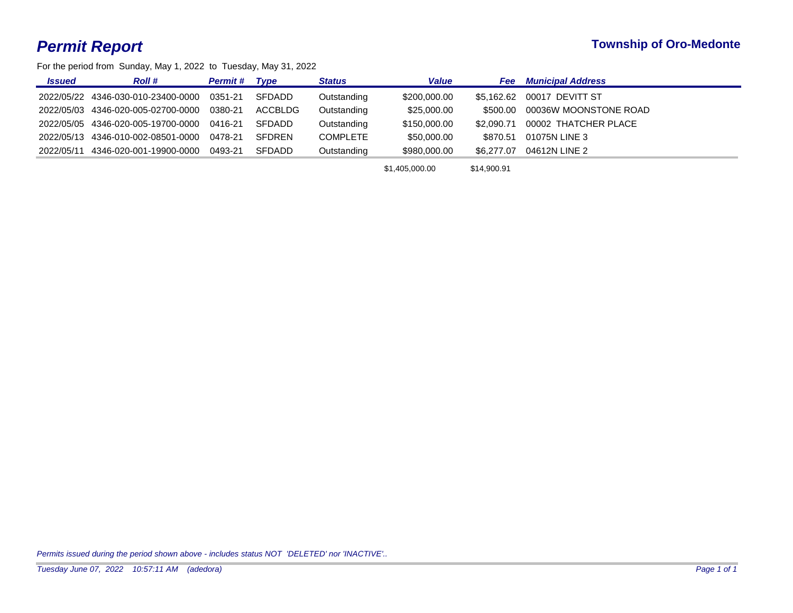## *Permit Report* **Township of Oro-Medonte**

For the period from Sunday, May 1, 2022 to Tuesday, May 31, 2022

| <b>Issued</b> | <b>Roll</b> #                              | <b>Permit#</b> | <b>T</b> vpe  | <b>Status</b>   | <b>Value</b> | Fee        | <b>Municipal Address</b> |
|---------------|--------------------------------------------|----------------|---------------|-----------------|--------------|------------|--------------------------|
|               | 2022/05/22 4346-030-010-23400-0000 0351-21 |                | SFDADD        | Outstanding     | \$200,000.00 | \$5.162.62 | 00017 DEVITT ST          |
|               | 2022/05/03 4346-020-005-02700-0000 0380-21 |                | ACCBLDG       | Outstanding     | \$25,000.00  | \$500.00   | 00036W MOONSTONE ROAD    |
|               | 2022/05/05 4346-020-005-19700-0000 0416-21 |                | SFDADD        | Outstanding     | \$150,000.00 | \$2.090.71 | 00002 THATCHER PLACE     |
|               | 2022/05/13 4346-010-002-08501-0000 0478-21 |                | <b>SFDREN</b> | <b>COMPLETE</b> | \$50,000.00  | \$870.51   | 01075N LINE 3            |
| 2022/05/11    | 4346-020-001-19900-0000 0493-21            |                | SFDADD        | Outstanding     | \$980,000.00 | \$6,277,07 | 04612N LINE 2            |
|               |                                            |                |               |                 |              |            |                          |

\$1,405,000.00 \$14,900.91

*Permits issued during the period shown above - includes status NOT 'DELETED' nor 'INACTIVE'..*